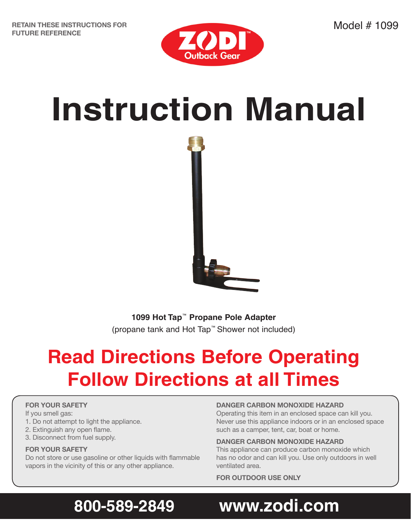

# **Instruction Manual**



**1099 Hot Tap**™ **Propane Pole Adapter** (propane tank and Hot Tap™ Shower not included)

# **Read Directions Before Operating Follow Directions at all Times**

#### **FOR YOUR SAFETY**

If you smell gas:

- 1. Do not attempt to light the appliance.
- 2. Extinguish any open flame.
- 3. Disconnect from fuel supply.

#### **FOR YOUR SAFETY**

Do not store or use gasoline or other liquids with flammable vapors in the vicinity of this or any other appliance.

#### **DANGER CARBON MONOXIDE HAZARD**

Operating this item in an enclosed space can kill you. Never use this appliance indoors or in an enclosed space such as a camper, tent, car, boat or home.

#### **DANGER CARBON MONOXIDE HAZARD**

This appliance can produce carbon monoxide which has no odor and can kill you. Use only outdoors in well ventilated area.

**FOR OUTDOOR USE ONLY**

# **800-589-2849 www.zodi.com**